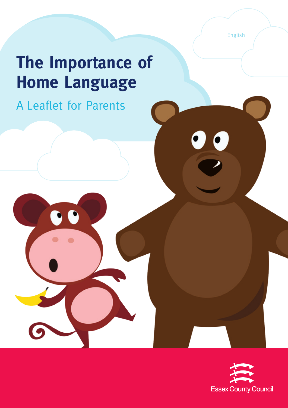English

# **The Importance of Home Language**

A Leaflet for Parents

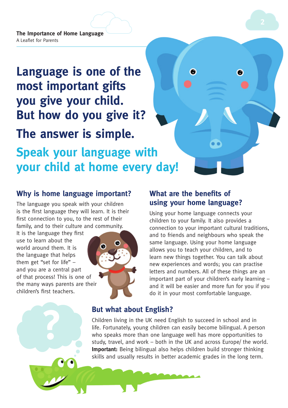## **Language is one of the most important gifts you give your child. But how do you give it? The answer is simple. Speak your language with your child at home every day!**

#### **Why is home language important?**

The language you speak with your children is the first language they will learn. It is their first connection to you, to the rest of their family, and to their culture and community.

It is the language they first use to learn about the world around them. It is the language that helps them get "set for life" – and you are a central part of that process! This is one of the many ways parents are their children's first teachers.

**?**



#### **What are the benefits of using your home language?**

6

Using your home language connects your children to your family. It also provides a connection to your important cultural traditions, and to friends and neighbours who speak the same language. Using your home language allows you to teach your children, and to learn new things together. You can talk about new experiences and words; you can practise letters and numbers. All of these things are an important part of your children's early learning – and it will be easier and more fun for you if you do it in your most comfortable language.

#### **But what about English?**

Children living in the UK need English to succeed in school and in life. Fortunately, young children can easily become bilingual. A person who speaks more than one language well has more opportunities to study, travel, and work – both in the UK and across Europe/ the world. **Important:** Being bilingual also helps children build stronger thinking skills and usually results in better academic grades in the long term.

€